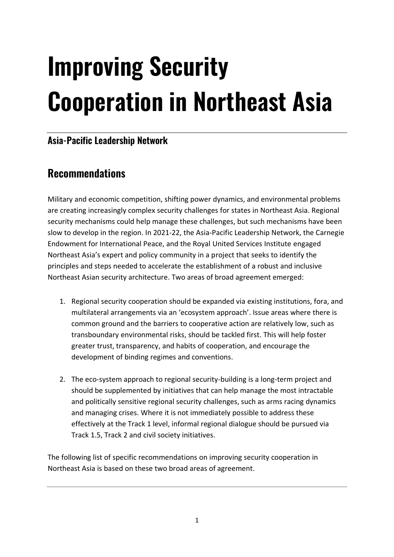# **Improving Security Cooperation in Northeast Asia**

## **Asia-Pacific Leadership Network**

## **Recommendations**

Military and economic competition, shifting power dynamics, and environmental problems are creating increasingly complex security challenges for states in Northeast Asia. Regional security mechanisms could help manage these challenges, but such mechanisms have been slow to develop in the region. In 2021-22, the Asia-Pacific Leadership Network, the Carnegie Endowment for International Peace, and the Royal United Services Institute engaged Northeast Asia's expert and policy community in a project that seeks to identify the principles and steps needed to accelerate the establishment of a robust and inclusive Northeast Asian security architecture. Two areas of broad agreement emerged:

- 1. Regional security cooperation should be expanded via existing institutions, fora, and multilateral arrangements via an 'ecosystem approach'. Issue areas where there is common ground and the barriers to cooperative action are relatively low, such as transboundary environmental risks, should be tackled first. This will help foster greater trust, transparency, and habits of cooperation, and encourage the development of binding regimes and conventions.
- 2. The eco-system approach to regional security-building is a long-term project and should be supplemented by initiatives that can help manage the most intractable and politically sensitive regional security challenges, such as arms racing dynamics and managing crises. Where it is not immediately possible to address these effectively at the Track 1 level, informal regional dialogue should be pursued via Track 1.5, Track 2 and civil society initiatives.

The following list of specific recommendations on improving security cooperation in Northeast Asia is based on these two broad areas of agreement.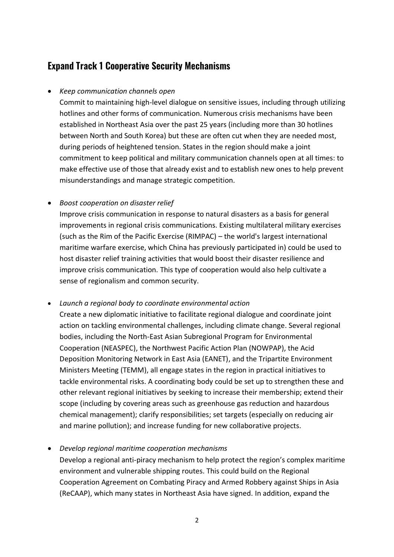## **Expand Track 1 Cooperative Security Mechanisms**

#### • *Keep communication channels open*

Commit to maintaining high-level dialogue on sensitive issues, including through utilizing hotlines and other forms of communication. Numerous crisis mechanisms have been established in Northeast Asia over the past 25 years (including more than 30 hotlines between North and South Korea) but these are often cut when they are needed most, during periods of heightened tension. States in the region should make a joint commitment to keep political and military communication channels open at all times: to make effective use of those that already exist and to establish new ones to help prevent misunderstandings and manage strategic competition.

#### • *Boost cooperation on disaster relief*

Improve crisis communication in response to natural disasters as a basis for general improvements in regional crisis communications. Existing multilateral military exercises (such as the Rim of the Pacific Exercise (RIMPAC) – the world's largest international maritime warfare exercise, which China has previously participated in) could be used to host disaster relief training activities that would boost their disaster resilience and improve crisis communication. This type of cooperation would also help cultivate a sense of regionalism and common security.

#### • *Launch a regional body to coordinate environmental action*

Create a new diplomatic initiative to facilitate regional dialogue and coordinate joint action on tackling environmental challenges, including climate change. Several regional bodies, including the North-East Asian Subregional Program for Environmental Cooperation (NEASPEC), the Northwest Pacific Action Plan (NOWPAP), the Acid Deposition Monitoring Network in East Asia (EANET), and the Tripartite Environment Ministers Meeting (TEMM), all engage states in the region in practical initiatives to tackle environmental risks. A coordinating body could be set up to strengthen these and other relevant regional initiatives by seeking to increase their membership; extend their scope (including by covering areas such as greenhouse gas reduction and hazardous chemical management); clarify responsibilities; set targets (especially on reducing air and marine pollution); and increase funding for new collaborative projects.

• *Develop regional maritime cooperation mechanisms*

Develop a regional anti-piracy mechanism to help protect the region's complex maritime environment and vulnerable shipping routes. This could build on the Regional Cooperation Agreement on Combating Piracy and Armed Robbery against Ships in Asia (ReCAAP), which many states in Northeast Asia have signed. In addition, expand the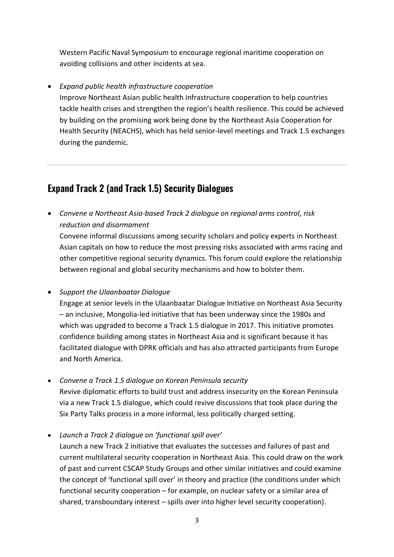Western Pacific Naval Symposium to encourage regional maritime cooperation on avoiding collisions and other incidents at sea.

• *Expand public health infrastructure cooperation* 

Improve Northeast Asian public health infrastructure cooperation to help countries tackle health crises and strengthen the region's health resilience. This could be achieved by building on the promising work being done by the Northeast Asia Cooperation for Health Security (NEACHS), which has held senior-level meetings and Track 1.5 exchanges during the pandemic.

### **Expand Track 2 (and Track 1.5) Security Dialogues**

• *Convene a Northeast Asia-based Track 2 dialogue on regional arms control, risk reduction and disarmament*

Convene informal discussions among security scholars and policy experts in Northeast Asian capitals on how to reduce the most pressing risks associated with arms racing and other competitive regional security dynamics. This forum could explore the relationship between regional and global security mechanisms and how to bolster them.

• *Support the Ulaanbaatar Dialogue* 

Engage at senior levels in the Ulaanbaatar Dialogue Initiative on Northeast Asia Security – an inclusive, Mongolia-led initiative that has been underway since the 1980s and which was upgraded to become a Track 1.5 dialogue in 2017. This initiative promotes confidence building among states in Northeast Asia and is significant because it has facilitated dialogue with DPRK officials and has also attracted participants from Europe and North America.

- *Convene a Track 1.5 dialogue on Korean Peninsula security* Revive diplomatic efforts to build trust and address insecurity on the Korean Peninsula via a new Track 1.5 dialogue, which could revive discussions that took place during the Six Party Talks process in a more informal, less politically charged setting.
- *Launch a Track 2 dialogue on 'functional spill over'*

Launch a new Track 2 initiative that evaluates the successes and failures of past and current multilateral security cooperation in Northeast Asia. This could draw on the work of past and current CSCAP Study Groups and other similar initiatives and could examine the concept of 'functional spill over' in theory and practice (the conditions under which functional security cooperation – for example, on nuclear safety or a similar area of shared, transboundary interest – spills over into higher level security cooperation).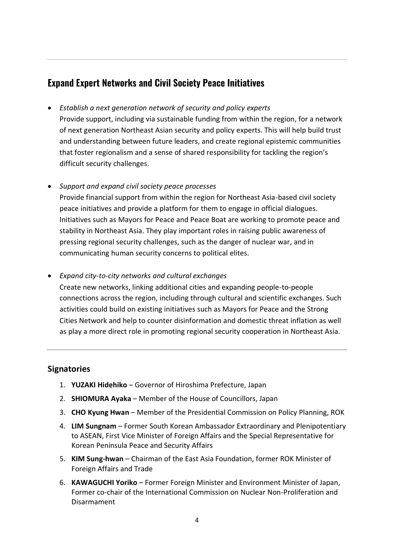## **Expand Expert Networks and Civil Society Peace Initiatives**

- *Establish a next generation network of security and policy experts*
- Provide support, including via sustainable funding from within the region, for a network of next generation Northeast Asian security and policy experts. This will help build trust and understanding between future leaders, and create regional epistemic communities that foster regionalism and a sense of shared responsibility for tackling the region's difficult security challenges.
- *Support and expand civil society peace processes*

Provide financial support from within the region for Northeast Asia-based civil society peace initiatives and provide a platform for them to engage in official dialogues. Initiatives such as Mayors for Peace and Peace Boat are working to promote peace and stability in Northeast Asia. They play important roles in raising public awareness of pressing regional security challenges, such as the danger of nuclear war, and in communicating human security concerns to political elites.

• *Expand city-to-city networks and cultural exchanges*

Create new networks, linking additional cities and expanding people-to-people connections across the region, including through cultural and scientific exchanges. Such activities could build on existing initiatives such as Mayors for Peace and the Strong Cities Network and help to counter disinformation and domestic threat inflation as well as play a more direct role in promoting regional security cooperation in Northeast Asia.

#### **Signatories**

- 1. **YUZAKI Hidehiko**  Governor of Hiroshima Prefecture, Japan
- 2. **SHIOMURA Ayaka**  Member of the House of Councillors, Japan
- 3. **CHO Kyung Hwan** Member of the Presidential Commission on Policy Planning, ROK
- 4. **LIM Sungnam** Former South Korean Ambassador Extraordinary and Plenipotentiary to ASEAN, First Vice Minister of Foreign Affairs and the Special Representative for Korean Peninsula Peace and Security Affairs
- 5. **KIM Sung-hwan** Chairman of the East Asia Foundation, former ROK Minister of Foreign Affairs and Trade
- 6. **KAWAGUCHI Yoriko**  Former Foreign Minister and Environment Minister of Japan, Former co-chair of the International Commission on Nuclear Non-Proliferation and Disarmament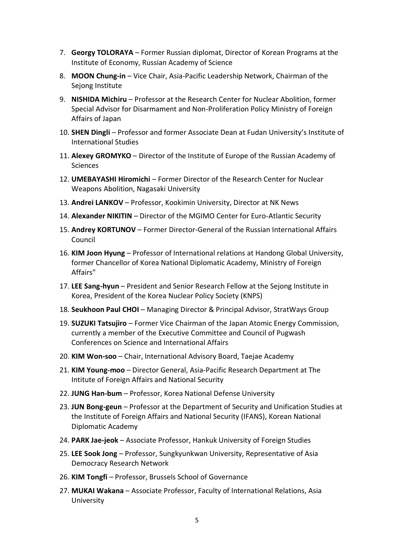- 7. **Georgy TOLORAYA** Former Russian diplomat, Director of Korean Programs at the Institute of Economy, Russian Academy of Science
- 8. **MOON Chung-in**  Vice Chair, Asia-Pacific Leadership Network, Chairman of the Sejong Institute
- 9. **NISHIDA Michiru**  Professor at the Research Center for Nuclear Abolition, former Special Advisor for Disarmament and Non-Proliferation Policy Ministry of Foreign Affairs of Japan
- 10. **SHEN Dingli** Professor and former Associate Dean at Fudan University's Institute of International Studies
- 11. **Alexey GROMYKO** Director of the Institute of Europe of the Russian Academy of Sciences
- 12. **UMEBAYASHI Hiromichi**  Former Director of the Research Center for Nuclear Weapons Abolition, Nagasaki University
- 13. **Andrei LANKOV** Professor, Kookimin University, Director at NK News
- 14. **Alexander NIKITIN** Director of the MGIMO Center for Euro-Atlantic Security
- 15. **Andrey KORTUNOV** Former Director-General of the Russian International Affairs Council
- 16. **KIM Joon Hyung** Professor of International relations at Handong Global University, former Chancellor of Korea National Diplomatic Academy, Ministry of Foreign Affairs"
- 17. **LEE Sang-hyun** President and Senior Research Fellow at the Sejong Institute in Korea, President of the Korea Nuclear Policy Society (KNPS)
- 18. **Seukhoon Paul CHOI** Managing Director & Principal Advisor, StratWays Group
- 19. **SUZUKI Tatsujiro**  Former Vice Chairman of the Japan Atomic Energy Commission, currently a member of the Executive Committee and Council of Pugwash Conferences on Science and International Affairs
- 20. **KIM Won-soo** Chair, International Advisory Board, Taejae Academy
- 21. **KIM Young-moo** Director General, Asia-Pacific Research Department at The Intitute of Foreign Affairs and National Security
- 22. **JUNG Han-bum** Professor, Korea National Defense University
- 23. **JUN Bong-geun** Professor at the Department of Security and Unification Studies at the Institute of Foreign Affairs and National Security (IFANS), Korean National Diplomatic Academy
- 24. **PARK Jae-jeok** Associate Professor, Hankuk University of Foreign Studies
- 25. **LEE Sook Jong** Professor, Sungkyunkwan University, Representative of Asia Democracy Research Network
- 26. **KIM Tongfi** Professor, Brussels School of Governance
- 27. **MUKAI Wakana** Associate Professor, Faculty of International Relations, Asia University